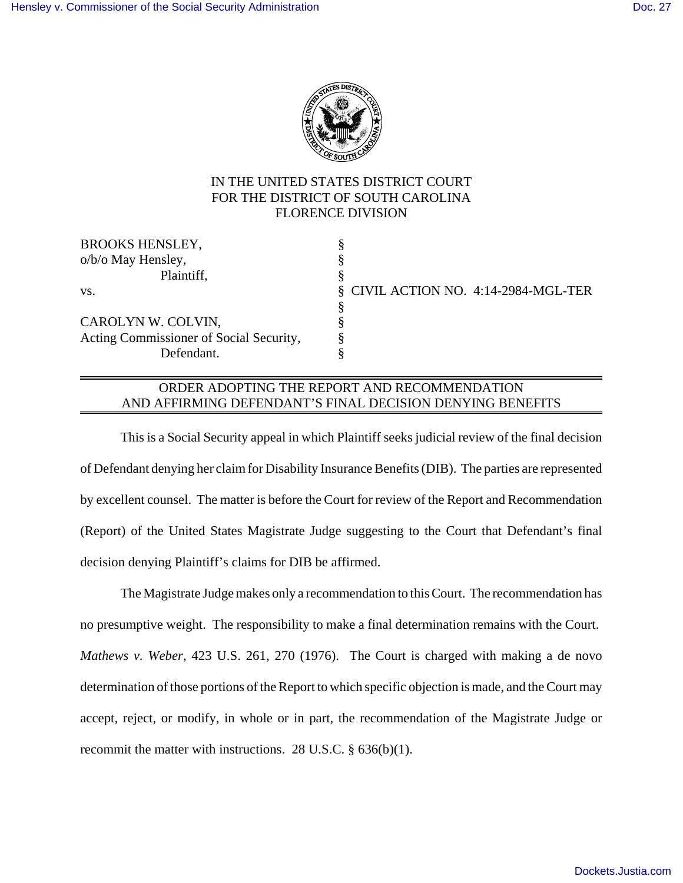

## IN THE UNITED STATES DISTRICT COURT FOR THE DISTRICT OF SOUTH CAROLINA FLORENCE DIVISION

| <b>BROOKS HENSLEY,</b>                  |                                      |
|-----------------------------------------|--------------------------------------|
| o/b/o May Hensley,                      |                                      |
| Plaintiff,                              |                                      |
| VS.                                     | § CIVIL ACTION NO. 4:14-2984-MGL-TER |
|                                         |                                      |
| CAROLYN W. COLVIN,                      |                                      |
| Acting Commissioner of Social Security, |                                      |
| Defendant.                              |                                      |

## ORDER ADOPTING THE REPORT AND RECOMMENDATION AND AFFIRMING DEFENDANT'S FINAL DECISION DENYING BENEFITS

This is a Social Security appeal in which Plaintiff seeks judicial review of the final decision of Defendant denying her claim for Disability Insurance Benefits (DIB). The parties are represented by excellent counsel. The matter is before the Court for review of the Report and Recommendation (Report) of the United States Magistrate Judge suggesting to the Court that Defendant's final decision denying Plaintiff's claims for DIB be affirmed.

The Magistrate Judge makes only a recommendation to this Court. The recommendation has no presumptive weight. The responsibility to make a final determination remains with the Court. *Mathews v. Weber*, 423 U.S. 261, 270 (1976). The Court is charged with making a de novo determination of those portions of the Report to which specific objection is made, and the Court may accept, reject, or modify, in whole or in part, the recommendation of the Magistrate Judge or recommit the matter with instructions. 28 U.S.C. § 636(b)(1).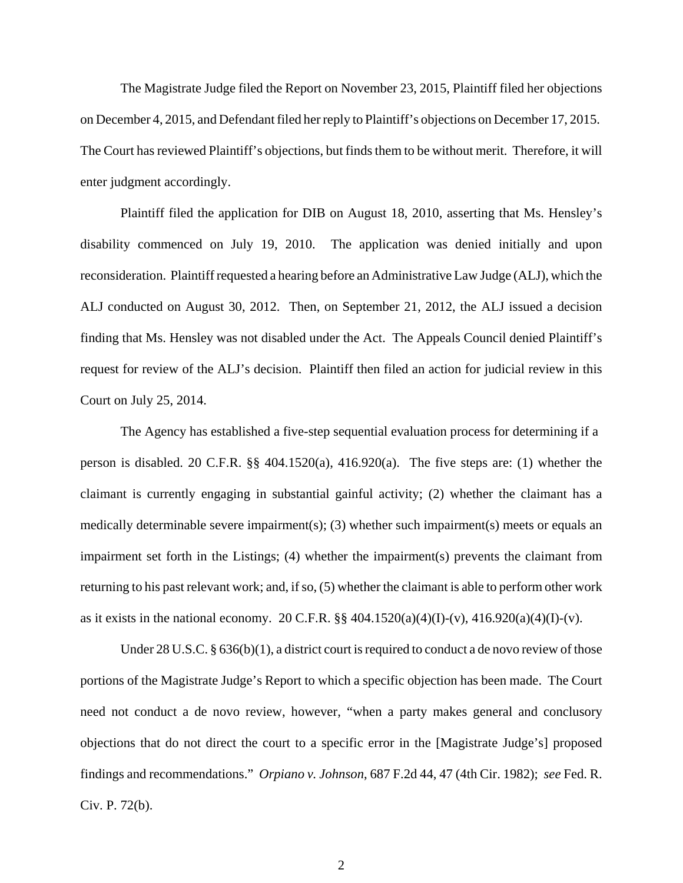The Magistrate Judge filed the Report on November 23, 2015, Plaintiff filed her objections on December 4, 2015, and Defendant filed her reply to Plaintiff's objections on December 17, 2015. The Court has reviewed Plaintiff's objections, but finds them to be without merit. Therefore, it will enter judgment accordingly.

Plaintiff filed the application for DIB on August 18, 2010, asserting that Ms. Hensley's disability commenced on July 19, 2010. The application was denied initially and upon reconsideration. Plaintiff requested a hearing before an Administrative Law Judge (ALJ), which the ALJ conducted on August 30, 2012. Then, on September 21, 2012, the ALJ issued a decision finding that Ms. Hensley was not disabled under the Act. The Appeals Council denied Plaintiff's request for review of the ALJ's decision. Plaintiff then filed an action for judicial review in this Court on July 25, 2014.

The Agency has established a five-step sequential evaluation process for determining if a person is disabled. 20 C.F.R. §§ 404.1520(a), 416.920(a). The five steps are: (1) whether the claimant is currently engaging in substantial gainful activity; (2) whether the claimant has a medically determinable severe impairment(s); (3) whether such impairment(s) meets or equals an impairment set forth in the Listings; (4) whether the impairment(s) prevents the claimant from returning to his past relevant work; and, if so, (5) whether the claimant is able to perform other work as it exists in the national economy. 20 C.F.R.  $\S § 404.1520(a)(4)(I)-(v)$ ,  $416.920(a)(4)(I)-(v)$ .

Under 28 U.S.C. § 636(b)(1), a district court is required to conduct a de novo review of those portions of the Magistrate Judge's Report to which a specific objection has been made. The Court need not conduct a de novo review, however, "when a party makes general and conclusory objections that do not direct the court to a specific error in the [Magistrate Judge's] proposed findings and recommendations." *Orpiano v. Johnson*, 687 F.2d 44, 47 (4th Cir. 1982); *see* Fed. R. Civ. P. 72(b).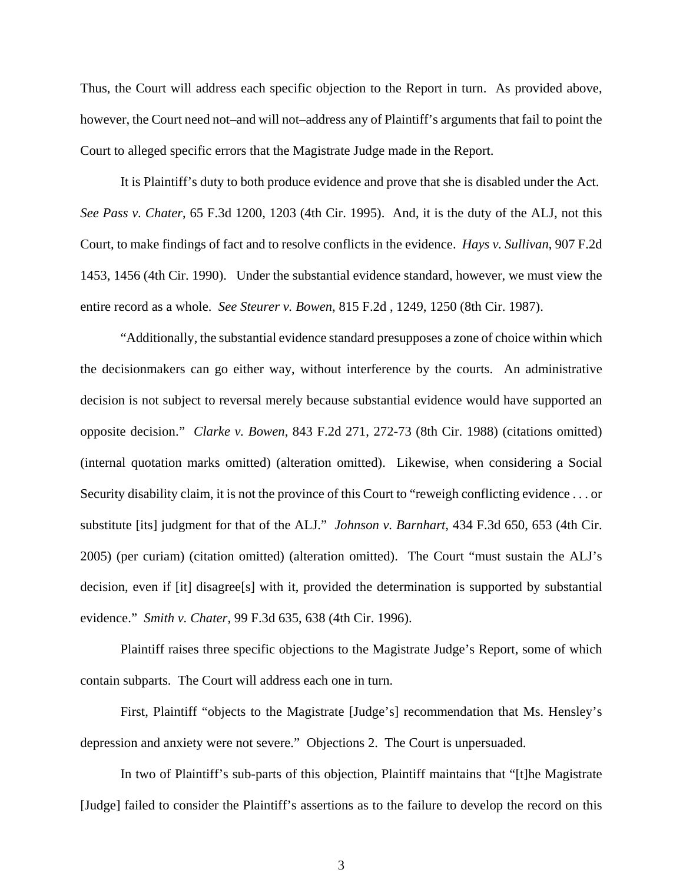Thus, the Court will address each specific objection to the Report in turn. As provided above, however, the Court need not–and will not–address any of Plaintiff's arguments that fail to point the Court to alleged specific errors that the Magistrate Judge made in the Report.

It is Plaintiff's duty to both produce evidence and prove that she is disabled under the Act. *See Pass v. Chater*, 65 F.3d 1200, 1203 (4th Cir. 1995). And, it is the duty of the ALJ, not this Court, to make findings of fact and to resolve conflicts in the evidence. *Hays v. Sullivan*, 907 F.2d 1453, 1456 (4th Cir. 1990). Under the substantial evidence standard, however, we must view the entire record as a whole. *See Steurer v. Bowen*, 815 F.2d , 1249, 1250 (8th Cir. 1987).

"Additionally, the substantial evidence standard presupposes a zone of choice within which the decisionmakers can go either way, without interference by the courts. An administrative decision is not subject to reversal merely because substantial evidence would have supported an opposite decision." *Clarke v. Bowen*, 843 F.2d 271, 272-73 (8th Cir. 1988) (citations omitted) (internal quotation marks omitted) (alteration omitted). Likewise, when considering a Social Security disability claim, it is not the province of this Court to "reweigh conflicting evidence . . . or substitute [its] judgment for that of the ALJ." *Johnson v. Barnhart*, 434 F.3d 650, 653 (4th Cir. 2005) (per curiam) (citation omitted) (alteration omitted). The Court "must sustain the ALJ's decision, even if [it] disagree[s] with it, provided the determination is supported by substantial evidence." *Smith v. Chater*, 99 F.3d 635, 638 (4th Cir. 1996).

Plaintiff raises three specific objections to the Magistrate Judge's Report, some of which contain subparts. The Court will address each one in turn.

First, Plaintiff "objects to the Magistrate [Judge's] recommendation that Ms. Hensley's depression and anxiety were not severe." Objections 2. The Court is unpersuaded.

In two of Plaintiff's sub-parts of this objection, Plaintiff maintains that "[t]he Magistrate [Judge] failed to consider the Plaintiff's assertions as to the failure to develop the record on this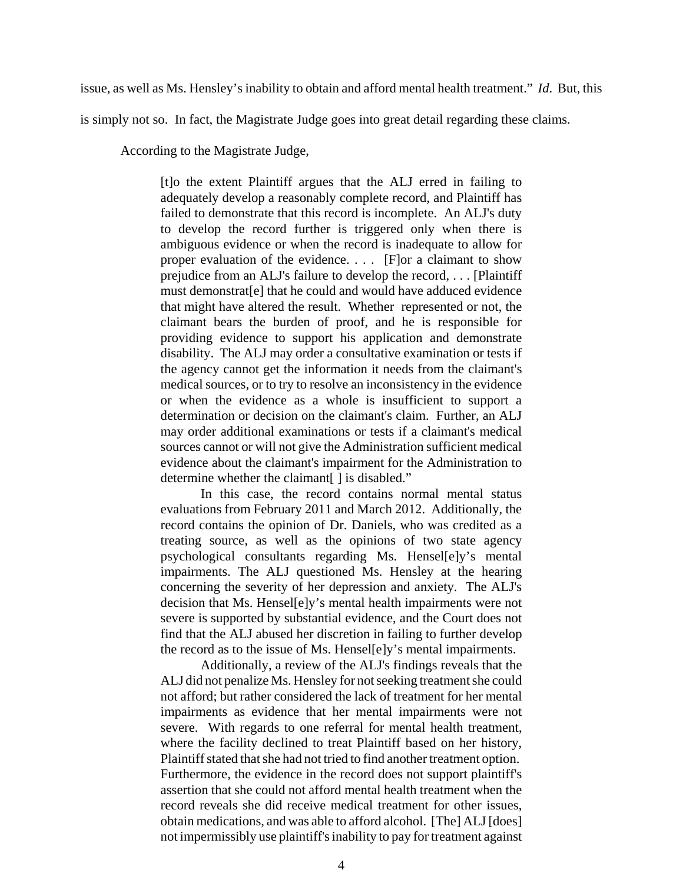issue, as well as Ms. Hensley's inability to obtain and afford mental health treatment." *Id*. But, this

is simply not so. In fact, the Magistrate Judge goes into great detail regarding these claims.

According to the Magistrate Judge,

[t]o the extent Plaintiff argues that the ALJ erred in failing to adequately develop a reasonably complete record, and Plaintiff has failed to demonstrate that this record is incomplete. An ALJ's duty to develop the record further is triggered only when there is ambiguous evidence or when the record is inadequate to allow for proper evaluation of the evidence. . . . [F]or a claimant to show prejudice from an ALJ's failure to develop the record, . . . [Plaintiff must demonstrat[e] that he could and would have adduced evidence that might have altered the result. Whether represented or not, the claimant bears the burden of proof, and he is responsible for providing evidence to support his application and demonstrate disability. The ALJ may order a consultative examination or tests if the agency cannot get the information it needs from the claimant's medical sources, or to try to resolve an inconsistency in the evidence or when the evidence as a whole is insufficient to support a determination or decision on the claimant's claim. Further, an ALJ may order additional examinations or tests if a claimant's medical sources cannot or will not give the Administration sufficient medical evidence about the claimant's impairment for the Administration to determine whether the claimant [] is disabled."

In this case, the record contains normal mental status evaluations from February 2011 and March 2012. Additionally, the record contains the opinion of Dr. Daniels, who was credited as a treating source, as well as the opinions of two state agency psychological consultants regarding Ms. Hensel[e]y's mental impairments. The ALJ questioned Ms. Hensley at the hearing concerning the severity of her depression and anxiety. The ALJ's decision that Ms. Hensel[e]y's mental health impairments were not severe is supported by substantial evidence, and the Court does not find that the ALJ abused her discretion in failing to further develop the record as to the issue of Ms. Hensel[e]y's mental impairments.

Additionally, a review of the ALJ's findings reveals that the ALJ did not penalize Ms. Hensley for not seeking treatment she could not afford; but rather considered the lack of treatment for her mental impairments as evidence that her mental impairments were not severe. With regards to one referral for mental health treatment, where the facility declined to treat Plaintiff based on her history, Plaintiff stated that she had not tried to find another treatment option. Furthermore, the evidence in the record does not support plaintiff's assertion that she could not afford mental health treatment when the record reveals she did receive medical treatment for other issues, obtain medications, and was able to afford alcohol. [The] ALJ [does] not impermissibly use plaintiff's inability to pay for treatment against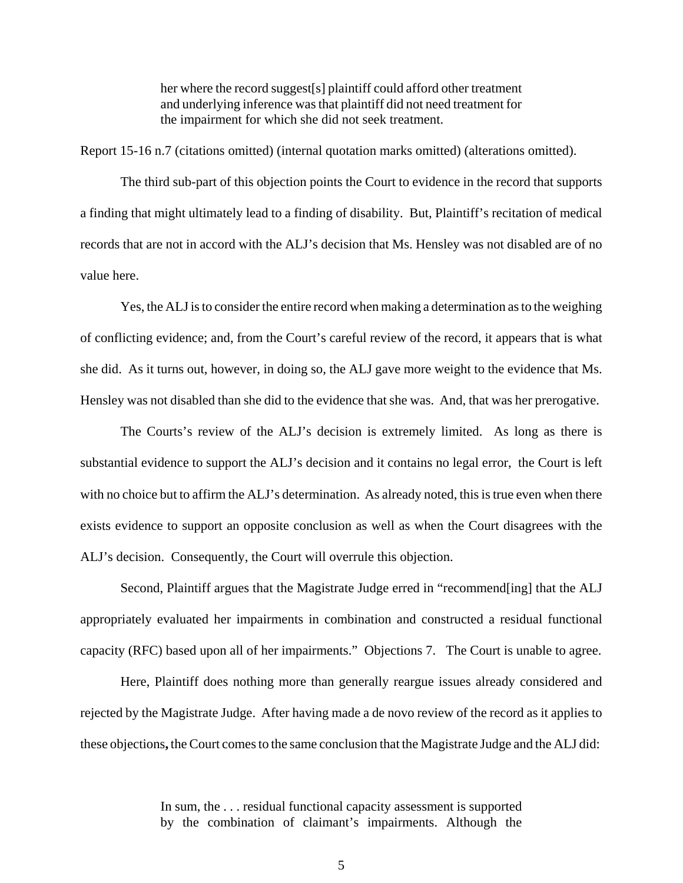her where the record suggest[s] plaintiff could afford other treatment and underlying inference was that plaintiff did not need treatment for the impairment for which she did not seek treatment.

Report 15-16 n.7 (citations omitted) (internal quotation marks omitted) (alterations omitted).

The third sub-part of this objection points the Court to evidence in the record that supports a finding that might ultimately lead to a finding of disability. But, Plaintiff's recitation of medical records that are not in accord with the ALJ's decision that Ms. Hensley was not disabled are of no value here.

Yes, the ALJ is to consider the entire record when making a determination as to the weighing of conflicting evidence; and, from the Court's careful review of the record, it appears that is what she did. As it turns out, however, in doing so, the ALJ gave more weight to the evidence that Ms. Hensley was not disabled than she did to the evidence that she was. And, that was her prerogative.

The Courts's review of the ALJ's decision is extremely limited. As long as there is substantial evidence to support the ALJ's decision and it contains no legal error, the Court is left with no choice but to affirm the ALJ's determination.As already noted, this is true even when there exists evidence to support an opposite conclusion as well as when the Court disagrees with the ALJ's decision. Consequently, the Court will overrule this objection.

Second, Plaintiff argues that the Magistrate Judge erred in "recommend[ing] that the ALJ appropriately evaluated her impairments in combination and constructed a residual functional capacity (RFC) based upon all of her impairments." Objections 7. The Court is unable to agree.

Here, Plaintiff does nothing more than generally reargue issues already considered and rejected by the Magistrate Judge. After having made a de novo review of the record as it applies to these objections**,** the Court comes to the same conclusion that the Magistrate Judge and the ALJ did:

> In sum, the . . . residual functional capacity assessment is supported by the combination of claimant's impairments. Although the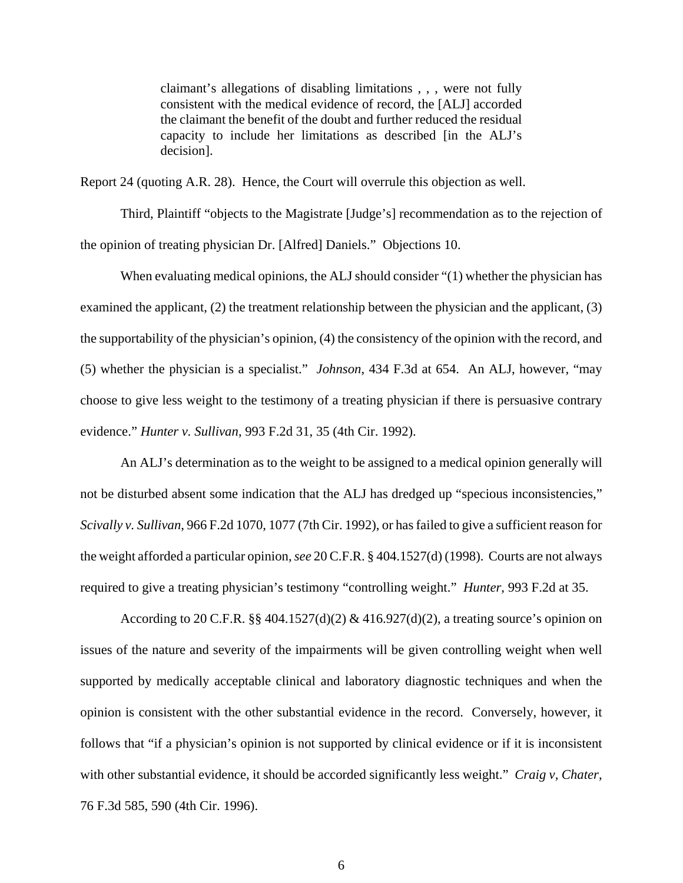claimant's allegations of disabling limitations , , , were not fully consistent with the medical evidence of record, the [ALJ] accorded the claimant the benefit of the doubt and further reduced the residual capacity to include her limitations as described [in the ALJ's decision].

Report 24 (quoting A.R. 28).Hence, the Court will overrule this objection as well.

Third, Plaintiff "objects to the Magistrate [Judge's] recommendation as to the rejection of the opinion of treating physician Dr. [Alfred] Daniels." Objections 10.

When evaluating medical opinions, the ALJ should consider "(1) whether the physician has examined the applicant, (2) the treatment relationship between the physician and the applicant, (3) the supportability of the physician's opinion, (4) the consistency of the opinion with the record, and (5) whether the physician is a specialist." *Johnson*, 434 F.3d at 654. An ALJ, however, "may choose to give less weight to the testimony of a treating physician if there is persuasive contrary evidence." *Hunter v. Sullivan*, 993 F.2d 31, 35 (4th Cir. 1992).

An ALJ's determination as to the weight to be assigned to a medical opinion generally will not be disturbed absent some indication that the ALJ has dredged up "specious inconsistencies," *Scivally v. Sullivan*, 966 F.2d 1070, 1077 (7th Cir. 1992), or has failed to give a sufficient reason for the weight afforded a particular opinion, *see* 20 C.F.R. § 404.1527(d) (1998). Courts are not always required to give a treating physician's testimony "controlling weight." *Hunter*, 993 F.2d at 35.

According to 20 C.F.R. §§ 404.1527(d)(2) & 416.927(d)(2), a treating source's opinion on issues of the nature and severity of the impairments will be given controlling weight when well supported by medically acceptable clinical and laboratory diagnostic techniques and when the opinion is consistent with the other substantial evidence in the record. Conversely, however, it follows that "if a physician's opinion is not supported by clinical evidence or if it is inconsistent with other substantial evidence, it should be accorded significantly less weight." *Craig v, Chater*, 76 F.3d 585, 590 (4th Cir. 1996).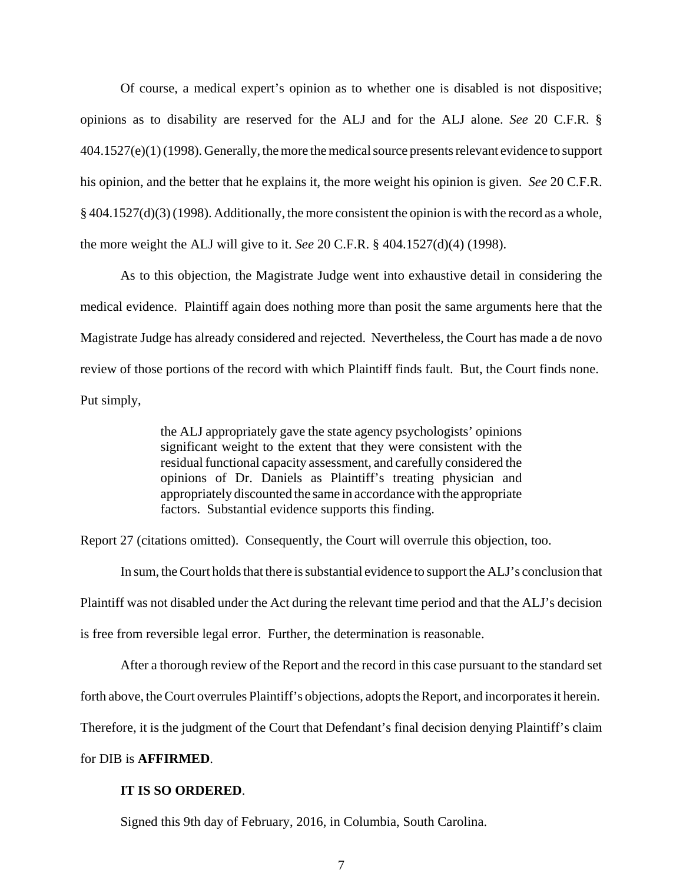Of course, a medical expert's opinion as to whether one is disabled is not dispositive; opinions as to disability are reserved for the ALJ and for the ALJ alone. *See* 20 C.F.R. § 404.1527(e)(1) (1998). Generally, the more the medical source presents relevant evidence to support his opinion, and the better that he explains it, the more weight his opinion is given. *See* 20 C.F.R. § 404.1527(d)(3) (1998). Additionally, the more consistent the opinion is with the record as a whole, the more weight the ALJ will give to it. *See* 20 C.F.R. § 404.1527(d)(4) (1998).

As to this objection, the Magistrate Judge went into exhaustive detail in considering the medical evidence. Plaintiff again does nothing more than posit the same arguments here that the Magistrate Judge has already considered and rejected. Nevertheless, the Court has made a de novo review of those portions of the record with which Plaintiff finds fault. But, the Court finds none. Put simply,

> the ALJ appropriately gave the state agency psychologists' opinions significant weight to the extent that they were consistent with the residual functional capacity assessment, and carefully considered the opinions of Dr. Daniels as Plaintiff's treating physician and appropriately discounted the same in accordance with the appropriate factors. Substantial evidence supports this finding.

Report 27 (citations omitted). Consequently, the Court will overrule this objection, too.

In sum, the Court holds that there is substantial evidence to support the ALJ's conclusion that Plaintiff was not disabled under the Act during the relevant time period and that the ALJ's decision is free from reversible legal error. Further, the determination is reasonable.

After a thorough review of the Report and the record in this case pursuant to the standard set

forth above, the Court overrules Plaintiff's objections, adopts the Report, and incorporates it herein.

Therefore, it is the judgment of the Court that Defendant's final decision denying Plaintiff's claim

## for DIB is **AFFIRMED**.

## **IT IS SO ORDERED**.

Signed this 9th day of February, 2016, in Columbia, South Carolina.